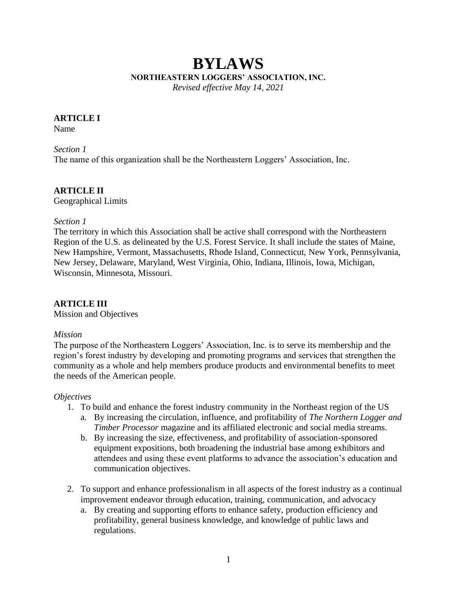# **BYLAWS NORTHEASTERN LOGGERS' ASSOCIATION, INC.**

*Revised effective May 14, 2021*

# **ARTICLE I**

Name

# *Section 1*

The name of this organization shall be the Northeastern Loggers' Association, Inc.

## **ARTICLE II** Geographical Limits

# *Section 1*

The territory in which this Association shall be active shall correspond with the Northeastern Region of the U.S. as delineated by the U.S. Forest Service. It shall include the states of Maine, New Hampshire, Vermont, Massachusetts, Rhode Island, Connecticut, New York, Pennsylvania, New Jersey, Delaware, Maryland, West Virginia, Ohio, Indiana, Illinois, Iowa, Michigan, Wisconsin, Minnesota, Missouri.

# **ARTICLE III**

Mission and Objectives

# *Mission*

The purpose of the Northeastern Loggers' Association, Inc. is to serve its membership and the region's forest industry by developing and promoting programs and services that strengthen the community as a whole and help members produce products and environmental benefits to meet the needs of the American people.

# *Objectives*

- 1. To build and enhance the forest industry community in the Northeast region of the US
	- a. By increasing the circulation, influence, and profitability of *The Northern Logger and Timber Processor* magazine and its affiliated electronic and social media streams.
	- b. By increasing the size, effectiveness, and profitability of association-sponsored equipment expositions, both broadening the industrial base among exhibitors and attendees and using these event platforms to advance the association's education and communication objectives.
- 2. To support and enhance professionalism in all aspects of the forest industry as a continual improvement endeavor through education, training, communication, and advocacy
	- a. By creating and supporting efforts to enhance safety, production efficiency and profitability, general business knowledge, and knowledge of public laws and regulations.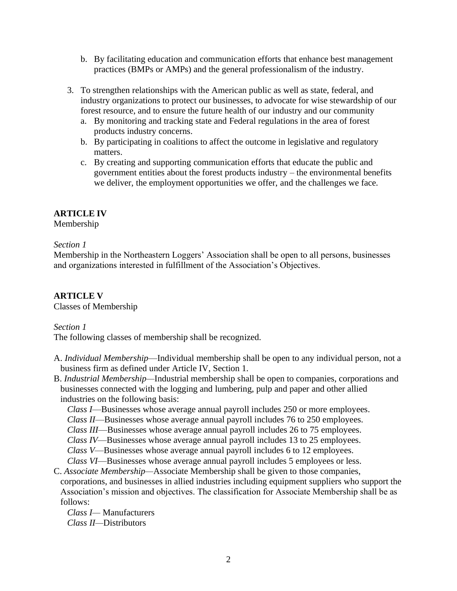- b. By facilitating education and communication efforts that enhance best management practices (BMPs or AMPs) and the general professionalism of the industry.
- 3. To strengthen relationships with the American public as well as state, federal, and industry organizations to protect our businesses, to advocate for wise stewardship of our forest resource, and to ensure the future health of our industry and our community
	- a. By monitoring and tracking state and Federal regulations in the area of forest products industry concerns.
	- b. By participating in coalitions to affect the outcome in legislative and regulatory matters.
	- c. By creating and supporting communication efforts that educate the public and government entities about the forest products industry – the environmental benefits we deliver, the employment opportunities we offer, and the challenges we face.

# **ARTICLE IV**

Membership

# *Section 1*

Membership in the Northeastern Loggers' Association shall be open to all persons, businesses and organizations interested in fulfillment of the Association's Objectives.

# **ARTICLE V**

Classes of Membership

## *Section 1*

The following classes of membership shall be recognized.

- A. *Individual Membership*—Individual membership shall be open to any individual person, not a business firm as defined under Article IV, Section 1.
- B. *Industrial Membership—*Industrial membership shall be open to companies, corporations and businesses connected with the logging and lumbering, pulp and paper and other allied industries on the following basis:
	- *Class I*—Businesses whose average annual payroll includes 250 or more employees*.*
	- *Class II*—Businesses whose average annual payroll includes 76 to 250 employees.
	- *Class III*—Businesses whose average annual payroll includes 26 to 75 employees.
	- *Class IV*—Businesses whose average annual payroll includes 13 to 25 employees.
	- *Class V*—Businesses whose average annual payroll includes 6 to 12 employees.
	- *Class VI*—Businesses whose average annual payroll includes 5 employees or less.
- C. *Associate Membership—*Associate Membership shall be given to those companies, corporations, and businesses in allied industries including equipment suppliers who support the Association's mission and objectives. The classification for Associate Membership shall be as follows:

 *Class I—* Manufacturers  *Class II—*Distributors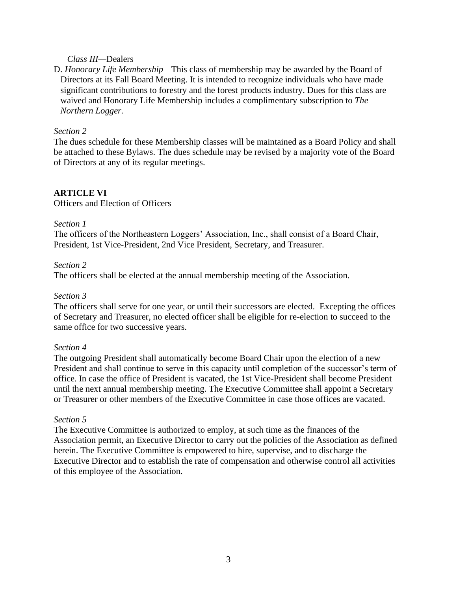## *Class III—*Dealers

D. *Honorary Life Membership—*This class of membership may be awarded by the Board of Directors at its Fall Board Meeting. It is intended to recognize individuals who have made significant contributions to forestry and the forest products industry. Dues for this class are waived and Honorary Life Membership includes a complimentary subscription to *The Northern Logger.* 

## *Section 2*

The dues schedule for these Membership classes will be maintained as a Board Policy and shall be attached to these Bylaws. The dues schedule may be revised by a majority vote of the Board of Directors at any of its regular meetings.

# **ARTICLE VI**

Officers and Election of Officers

#### *Section 1*

The officers of the Northeastern Loggers' Association, Inc., shall consist of a Board Chair, President, 1st Vice-President, 2nd Vice President, Secretary, and Treasurer.

#### *Section 2*

The officers shall be elected at the annual membership meeting of the Association.

## *Section 3*

The officers shall serve for one year, or until their successors are elected. Excepting the offices of Secretary and Treasurer, no elected officer shall be eligible for re-election to succeed to the same office for two successive years.

#### *Section 4*

The outgoing President shall automatically become Board Chair upon the election of a new President and shall continue to serve in this capacity until completion of the successor's term of office. In case the office of President is vacated, the 1st Vice-President shall become President until the next annual membership meeting. The Executive Committee shall appoint a Secretary or Treasurer or other members of the Executive Committee in case those offices are vacated.

#### *Section 5*

The Executive Committee is authorized to employ, at such time as the finances of the Association permit, an Executive Director to carry out the policies of the Association as defined herein. The Executive Committee is empowered to hire, supervise, and to discharge the Executive Director and to establish the rate of compensation and otherwise control all activities of this employee of the Association.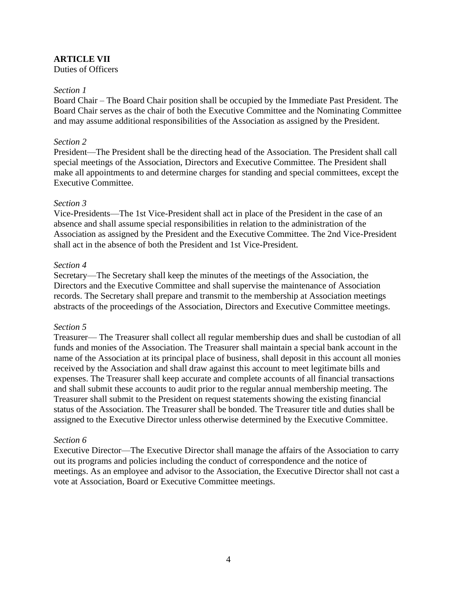# **ARTICLE VII**

Duties of Officers

#### *Section 1*

Board Chair – The Board Chair position shall be occupied by the Immediate Past President. The Board Chair serves as the chair of both the Executive Committee and the Nominating Committee and may assume additional responsibilities of the Association as assigned by the President.

#### *Section 2*

President—The President shall be the directing head of the Association. The President shall call special meetings of the Association, Directors and Executive Committee. The President shall make all appointments to and determine charges for standing and special committees, except the Executive Committee.

#### *Section 3*

Vice-Presidents—The 1st Vice-President shall act in place of the President in the case of an absence and shall assume special responsibilities in relation to the administration of the Association as assigned by the President and the Executive Committee. The 2nd Vice-President shall act in the absence of both the President and 1st Vice-President.

#### *Section 4*

Secretary—The Secretary shall keep the minutes of the meetings of the Association, the Directors and the Executive Committee and shall supervise the maintenance of Association records. The Secretary shall prepare and transmit to the membership at Association meetings abstracts of the proceedings of the Association, Directors and Executive Committee meetings.

#### *Section 5*

Treasurer— The Treasurer shall collect all regular membership dues and shall be custodian of all funds and monies of the Association. The Treasurer shall maintain a special bank account in the name of the Association at its principal place of business, shall deposit in this account all monies received by the Association and shall draw against this account to meet legitimate bills and expenses. The Treasurer shall keep accurate and complete accounts of all financial transactions and shall submit these accounts to audit prior to the regular annual membership meeting. The Treasurer shall submit to the President on request statements showing the existing financial status of the Association. The Treasurer shall be bonded. The Treasurer title and duties shall be assigned to the Executive Director unless otherwise determined by the Executive Committee.

#### *Section 6*

Executive Director—The Executive Director shall manage the affairs of the Association to carry out its programs and policies including the conduct of correspondence and the notice of meetings. As an employee and advisor to the Association, the Executive Director shall not cast a vote at Association, Board or Executive Committee meetings.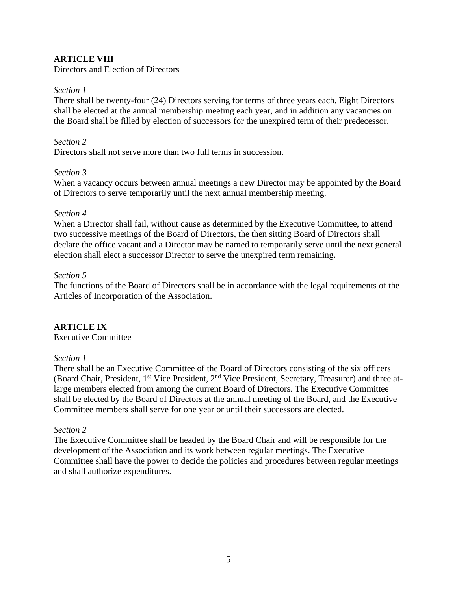# **ARTICLE VIII**

Directors and Election of Directors

#### *Section 1*

There shall be twenty-four (24) Directors serving for terms of three years each. Eight Directors shall be elected at the annual membership meeting each year, and in addition any vacancies on the Board shall be filled by election of successors for the unexpired term of their predecessor.

#### *Section 2*

Directors shall not serve more than two full terms in succession.

#### *Section 3*

When a vacancy occurs between annual meetings a new Director may be appointed by the Board of Directors to serve temporarily until the next annual membership meeting.

#### *Section 4*

When a Director shall fail, without cause as determined by the Executive Committee, to attend two successive meetings of the Board of Directors, the then sitting Board of Directors shall declare the office vacant and a Director may be named to temporarily serve until the next general election shall elect a successor Director to serve the unexpired term remaining.

#### *Section 5*

The functions of the Board of Directors shall be in accordance with the legal requirements of the Articles of Incorporation of the Association.

## **ARTICLE IX**

Executive Committee

## *Section 1*

There shall be an Executive Committee of the Board of Directors consisting of the six officers (Board Chair, President, 1st Vice President, 2nd Vice President, Secretary, Treasurer) and three atlarge members elected from among the current Board of Directors. The Executive Committee shall be elected by the Board of Directors at the annual meeting of the Board, and the Executive Committee members shall serve for one year or until their successors are elected.

## *Section 2*

The Executive Committee shall be headed by the Board Chair and will be responsible for the development of the Association and its work between regular meetings. The Executive Committee shall have the power to decide the policies and procedures between regular meetings and shall authorize expenditures.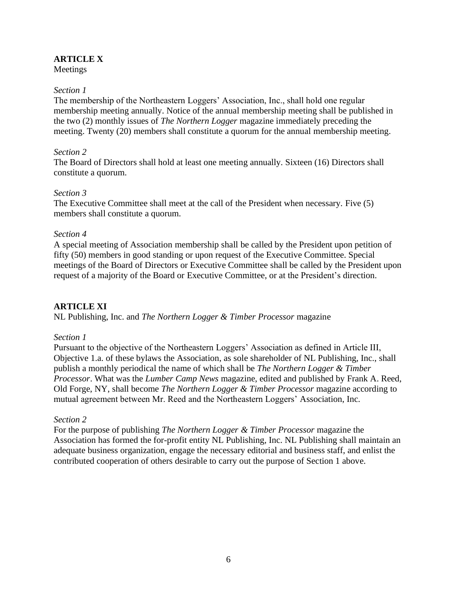# **ARTICLE X**

Meetings

## *Section 1*

The membership of the Northeastern Loggers' Association, Inc., shall hold one regular membership meeting annually. Notice of the annual membership meeting shall be published in the two (2) monthly issues of *The Northern Logger* magazine immediately preceding the meeting. Twenty (20) members shall constitute a quorum for the annual membership meeting.

## *Section 2*

The Board of Directors shall hold at least one meeting annually. Sixteen (16) Directors shall constitute a quorum.

## *Section 3*

The Executive Committee shall meet at the call of the President when necessary. Five (5) members shall constitute a quorum.

## *Section 4*

A special meeting of Association membership shall be called by the President upon petition of fifty (50) members in good standing or upon request of the Executive Committee. Special meetings of the Board of Directors or Executive Committee shall be called by the President upon request of a majority of the Board or Executive Committee, or at the President's direction.

# **ARTICLE XI**

NL Publishing, Inc. and *The Northern Logger & Timber Processor* magazine

## *Section 1*

Pursuant to the objective of the Northeastern Loggers' Association as defined in Article III, Objective 1.a. of these bylaws the Association, as sole shareholder of NL Publishing, Inc., shall publish a monthly periodical the name of which shall be *The Northern Logger & Timber Processor*. What was the *Lumber Camp News* magazine, edited and published by Frank A. Reed, Old Forge, NY, shall become *The Northern Logger & Timber Processor* magazine according to mutual agreement between Mr. Reed and the Northeastern Loggers' Association, Inc.

## *Section 2*

For the purpose of publishing *The Northern Logger & Timber Processor* magazine the Association has formed the for-profit entity NL Publishing, Inc. NL Publishing shall maintain an adequate business organization, engage the necessary editorial and business staff, and enlist the contributed cooperation of others desirable to carry out the purpose of Section 1 above.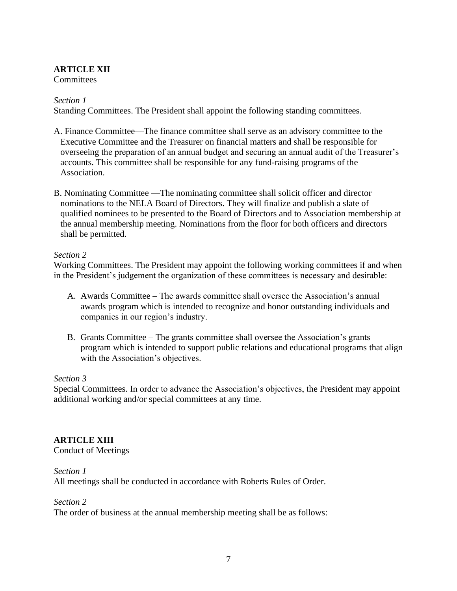# **ARTICLE XII**

**Committees** 

# *Section 1*

Standing Committees. The President shall appoint the following standing committees.

- A. Finance Committee—The finance committee shall serve as an advisory committee to the Executive Committee and the Treasurer on financial matters and shall be responsible for overseeing the preparation of an annual budget and securing an annual audit of the Treasurer's accounts. This committee shall be responsible for any fund-raising programs of the Association.
- B. Nominating Committee —The nominating committee shall solicit officer and director nominations to the NELA Board of Directors. They will finalize and publish a slate of qualified nominees to be presented to the Board of Directors and to Association membership at the annual membership meeting. Nominations from the floor for both officers and directors shall be permitted.

# *Section 2*

Working Committees. The President may appoint the following working committees if and when in the President's judgement the organization of these committees is necessary and desirable:

- A. Awards Committee The awards committee shall oversee the Association's annual awards program which is intended to recognize and honor outstanding individuals and companies in our region's industry.
- B. Grants Committee The grants committee shall oversee the Association's grants program which is intended to support public relations and educational programs that align with the Association's objectives.

## *Section 3*

Special Committees. In order to advance the Association's objectives, the President may appoint additional working and/or special committees at any time.

# **ARTICLE XIII**

Conduct of Meetings

## *Section 1*

All meetings shall be conducted in accordance with Roberts Rules of Order.

## *Section 2*

The order of business at the annual membership meeting shall be as follows: